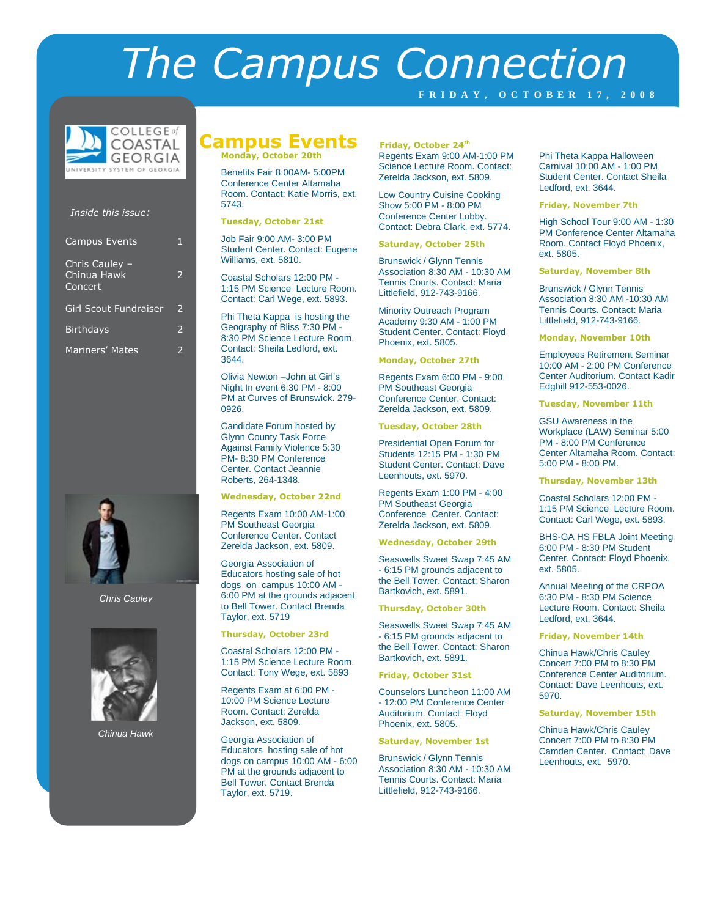# *The Campus Connection*

**F R I D A Y , O C T O B E R 1 7 , 2 0 0 8**



#### *Inside this issue:*

| <b>Campus Events</b>                     | 1                        |
|------------------------------------------|--------------------------|
| Chris Cauley -<br>Chinua Hawk<br>Concert | 2                        |
| <b>Girl Scout Fundraiser</b>             | $\mathcal{P}$            |
| <b>Birthdays</b>                         | $\overline{\phantom{a}}$ |
| Mariners' Mates                          |                          |



#### *Chris Cauley*



*Chinua Hawk*

## **Campus Events Friday, October 24th**

**Monday, October 20th**

Benefits Fair 8:00AM- 5:00PM Conference Center Altamaha Room. Contact: Katie Morris, ext. 5743.

#### **Tuesday, October 21st**

Job Fair 9:00 AM- 3:00 PM Student Center. Contact: Eugene Williams, ext. 5810.

Coastal Scholars 12:00 PM - 1:15 PM Science Lecture Room. Contact: Carl Wege, ext. 5893.

Phi Theta Kappa is hosting the Geography of Bliss 7:30 PM - 8:30 PM Science Lecture Room. Contact: Sheila Ledford, ext. 3644.

Olivia Newton –John at Girl's Night In event 6:30 PM - 8:00 PM at Curves of Brunswick. 279- 0926.

Candidate Forum hosted by Glynn County Task Force Against Family Violence 5:30 PM- 8:30 PM Conference Center. Contact Jeannie Roberts, 264-1348.

#### **Wednesday, October 22nd**

Regents Exam 10:00 AM-1:00 PM Southeast Georgia Conference Center. Contact Zerelda Jackson, ext. 5809.

Georgia Association of Educators hosting sale of hot dogs on campus 10:00 AM - 6:00 PM at the grounds adjacent to Bell Tower. Contact Brenda Taylor, ext. 5719

#### **Thursday, October 23rd**

Coastal Scholars 12:00 PM - 1:15 PM Science Lecture Room. Contact: Tony Wege, ext. 5893

Regents Exam at 6:00 PM - 10:00 PM Science Lecture Room. Contact: Zerelda Jackson, ext. 5809.

Georgia Association of Educators hosting sale of hot dogs on campus 10:00 AM - 6:00 PM at the grounds adjacent to Bell Tower. Contact Brenda Taylor, ext. 5719.

Regents Exam 9:00 AM-1:00 PM Science Lecture Room. Contact: Zerelda Jackson, ext. 5809.

Low Country Cuisine Cooking Show 5:00 PM - 8:00 PM Conference Center Lobby. Contact: Debra Clark, ext. 5774.

#### **Saturday, October 25th**

Brunswick / Glynn Tennis Association 8:30 AM - 10:30 AM Tennis Courts. Contact: Maria Littlefield, 912-743-9166.

Minority Outreach Program Academy 9:30 AM - 1:00 PM Student Center. Contact: Floyd Phoenix, ext. 5805.

#### **Monday, October 27th**

Regents Exam 6:00 PM - 9:00 PM Southeast Georgia Conference Center. Contact: Zerelda Jackson, ext. 5809.

**Tuesday, October 28th**

Presidential Open Forum for Students 12:15 PM - 1:30 PM Student Center. Contact: Dave Leenhouts, ext. 5970.

Regents Exam 1:00 PM - 4:00 PM Southeast Georgia Conference Center. Contact: Zerelda Jackson, ext. 5809.

**Wednesday, October 29th**

Seaswells Sweet Swap 7:45 AM - 6:15 PM grounds adjacent to the Bell Tower. Contact: Sharon Bartkovich, ext. 5891.

#### **Thursday, October 30th**

Seaswells Sweet Swap 7:45 AM - 6:15 PM grounds adjacent to the Bell Tower. Contact: Sharon Bartkovich, ext. 5891.

#### **Friday, October 31st**

Counselors Luncheon 11:00 AM - 12:00 PM Conference Center Auditorium. Contact: Floyd Phoenix, ext. 5805.

#### **Saturday, November 1st**

Brunswick / Glynn Tennis Association 8:30 AM - 10:30 AM Tennis Courts. Contact: Maria Littlefield, 912-743-9166.

Phi Theta Kappa Halloween Carnival 10:00 AM - 1:00 PM Student Center. Contact Sheila Ledford, ext. 3644.

#### **Friday, November 7th**

High School Tour 9:00 AM - 1:30 PM Conference Center Altamaha Room. Contact Floyd Phoenix, ext. 5805.

**Saturday, November 8th**

Brunswick / Glynn Tennis Association 8:30 AM -10:30 AM Tennis Courts. Contact: Maria Littlefield, 912-743-9166.

**Monday, November 10th**

Employees Retirement Seminar 10:00 AM - 2:00 PM Conference Center Auditorium. Contact Kadir Edghill 912-553-0026.

#### **Tuesday, November 11th**

GSU Awareness in the Workplace (LAW) Seminar 5:00 PM - 8:00 PM Conference Center Altamaha Room. Contact: 5:00 PM - 8:00 PM.

**Thursday, November 13th**

Coastal Scholars 12:00 PM - 1:15 PM Science Lecture Room. Contact: Carl Wege, ext. 5893.

BHS-GA HS FBLA Joint Meeting 6:00 PM - 8:30 PM Student Center. Contact: Floyd Phoenix, ext. 5805.

Annual Meeting of the CRPOA 6:30 PM - 8:30 PM Science Lecture Room. Contact: Sheila Ledford, ext. 3644.

**Friday, November 14th**

Chinua Hawk/Chris Cauley Concert 7:00 PM to 8:30 PM Conference Center Auditorium. Contact: Dave Leenhouts, ext. 5970.

**Saturday, November 15th**

Chinua Hawk/Chris Cauley Concert 7:00 PM to 8:30 PM Camden Center. Contact: Dave Leenhouts, ext. 5970.